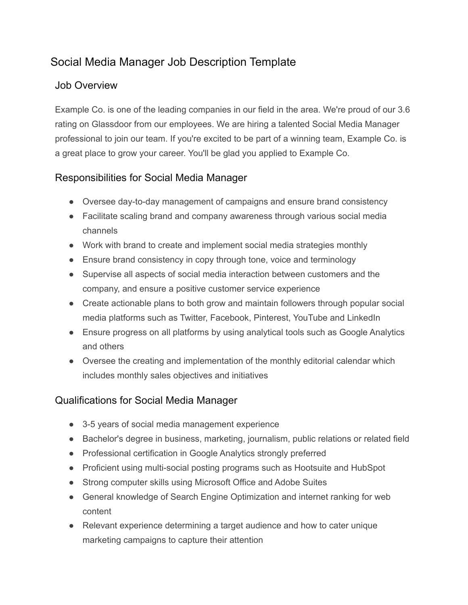## Social Media Manager Job Description Template

## Job Overview

Example Co. is one of the leading companies in our field in the area. We're proud of our 3.6 rating on Glassdoor from our employees. We are hiring a talented Social Media Manager professional to join our team. If you're excited to be part of a winning team, Example Co. is a great place to grow your career. You'll be glad you applied to Example Co.

## Responsibilities for Social Media Manager

- Oversee day-to-day management of campaigns and ensure brand consistency
- Facilitate scaling brand and company awareness through various social media channels
- Work with brand to create and implement social media strategies monthly
- Ensure brand consistency in copy through tone, voice and terminology
- Supervise all aspects of social media interaction between customers and the company, and ensure a positive customer service experience
- Create actionable plans to both grow and maintain followers through popular social media platforms such as Twitter, Facebook, Pinterest, YouTube and LinkedIn
- Ensure progress on all platforms by using analytical tools such as Google Analytics and others
- Oversee the creating and implementation of the monthly editorial calendar which includes monthly sales objectives and initiatives

## Qualifications for Social Media Manager

- 3-5 years of social media management experience
- Bachelor's degree in business, marketing, journalism, public relations or related field
- Professional certification in Google Analytics strongly preferred
- Proficient using multi-social posting programs such as Hootsuite and HubSpot
- Strong computer skills using Microsoft Office and Adobe Suites
- General knowledge of Search Engine Optimization and internet ranking for web content
- Relevant experience determining a target audience and how to cater unique marketing campaigns to capture their attention